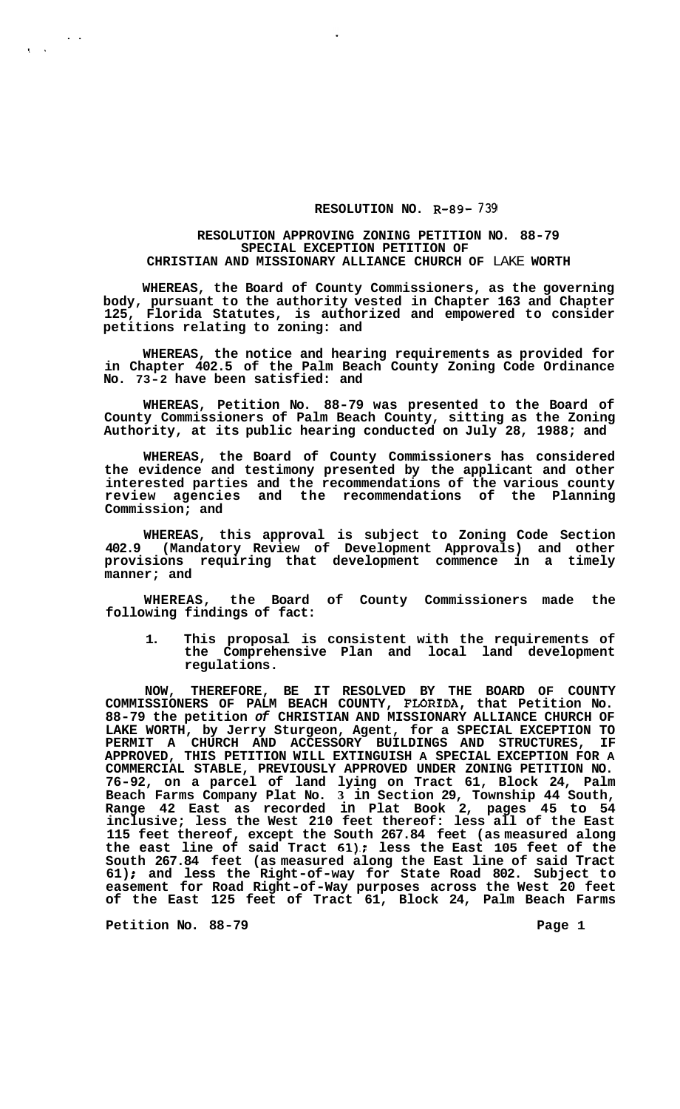## **RESOLUTION NO. R-89- 739**

## **RESOLUTION APPROVING ZONING PETITION NO. 88-79 SPECIAL EXCEPTION PETITION OF CHRISTIAN AND MISSIONARY ALLIANCE CHURCH OF** LAKE **WORTH**

**WHEREAS, the Board of County Commissioners, as the governing body, pursuant to the authority vested in Chapter 163 and Chapter 125, Florida Statutes, is authorized and empowered to consider petitions relating to zoning: and** 

**WHEREAS, the notice and hearing requirements as provided for in Chapter 402.5 of the Palm Beach County Zoning Code Ordinance No. 73-2 have been satisfied: and** 

**WHEREAS, Petition No. 88-79 was presented to the Board of County Commissioners of Palm Beach County, sitting as the Zoning Authority, at its public hearing conducted on July 28, 1988; and** 

**WHEREAS, the Board of County Commissioners has considered the evidence and testimony presented by the applicant and other interested parties and the recommendations of the various county review agencies and the recommendations of the Planning Commission; and** 

**WHEREAS, this approval is subject to Zoning Code Section 402.9 (Mandatory Review of Development Approvals) and other provisions requiring that development commence in a timely manner; and** 

**WHEREAS, the Board of County Commissioners made the following findings of fact:** 

**1. This proposal is consistent with the requirements of the Comprehensive Plan and local land development regulations.** 

**NOW, THEREFORE, BE IT RESOLVED BY THE BOARD OF COUNTY COMMISSIONERS OF PALM BEACH COUNTY, FLORXDA, that Petition No. 88-79 the petition** *of* **CHRISTIAN AND MISSIONARY ALLIANCE CHURCH OF LAKE WORTH, by Jerry Sturgeon, Agent, for a SPECIAL EXCEPTION TO**  PERMIT A CHURCH AND ACCESSORY BUILDINGS AND STRUCTURES, **APPROVED, THIS PETITION WILL EXTINGUISH A SPECIAL EXCEPTION FOR A COMMERCIAL STABLE, PREVIOUSLY APPROVED UNDER ZONING PETITION NO. 76-92, on a parcel of land lying on Tract 61, Block 24, Palm Beach Farms Company Plat No. 3 in Section 29, Township 44 South, Range 42 East as recorded in Plat Book 2, pages 45 to 54 inclusive; less the West 210 feet thereof: less all of the East 115 feet thereof, except the South 267.84 feet (as measured along the east line of said Tract 61).: less the East 105 feet of the South 267.84 feet (as measured along the East line of said Tract 61)** ; **and less the Right-of-way for State Road 802. Subject to easement for Road Right-of -Way purposes across the West 20 feet of the East 125 feet of Tract 61, Block 24, Palm Beach Farms** 

Petition No. 88-79 **Page 1 Page 1** 

..

 $\mathbf{c}^{\dagger}$ .  $\mathbf{c}^{\dagger}$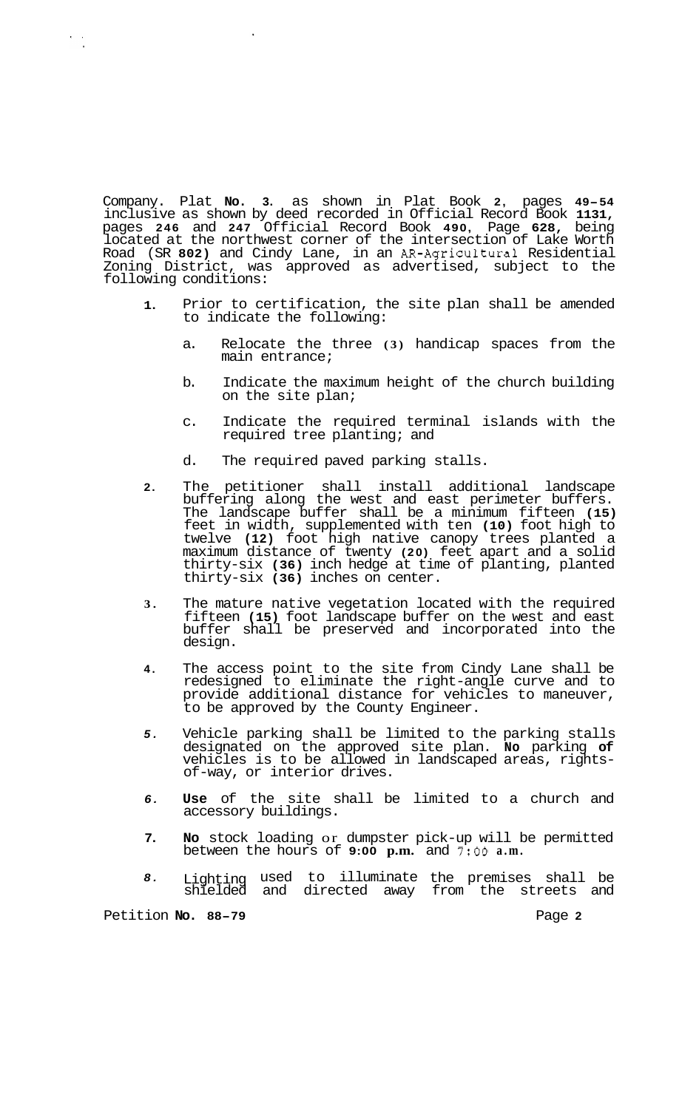Company. Plat **No. 3.** as shown in Plat Book **2,** pages **49-54**  inclusive as shown by deed recorded in Official Record Book **1131,**  pages **246** and **247** Official Record Book **490,** Page **628,** being located at the northwest corner of the intersection of Lake Worth Road (SR **802)** and Cindy Lane, in an AR-Agricultural Residential Zoning District, was approved as advertised, subject to the following conditions:

- **1.**  Prior to certification, the site plan shall be amended to indicate the following:
	- a. Relocate the three **(3)** handicap spaces from the main entrance;
	- b. Indicate the maximum height of the church building on the site plan;
	- c. Indicate the required terminal islands with the required tree planting; and
	- d. The required paved parking stalls.
- **2.**  The petitioner shall install additional landscape buffering along the west and east perimeter buffers. The landscape buffer shall be a minimum fifteen **(15)**  feet in width, supplemented with ten **(10)** foot high to twelve **(12)** foot high native canopy trees planted a maximum distance of twenty **(20)** feet apart and a solid thirty-six **(36)** inch hedge at time of planting, planted thirty-six **(36)** inches on center.
- **3.**  The mature native vegetation located with the required fifteen **(15)** foot landscape buffer on the west and east buffer shall be preserved and incorporated into the design.
- **4.**  The access point to the site from Cindy Lane shall be redesigned to eliminate the right-angle curve and to provide additional distance for vehicles to maneuver, to be approved by the County Engineer.
- *5.*  Vehicle parking shall be limited to the parking stalls designated on the approved site plan. **No** parking **of**  vehicles is to be allowed in landscaped areas, rights- of-way, or interior drives.
- *6.*  **Use** of the site shall be limited to a church and accessory buildings.
- **7. No** stock loading or dumpster pick-up will be permitted between the hours of **9:00 p.m.** and **7:OO a.m.**
- *8.*  Lighting used to illuminate the premises shall be shielded and directed away from the streets and

Petition **No. 88-79** Page **2** 

 $\frac{1}{2}$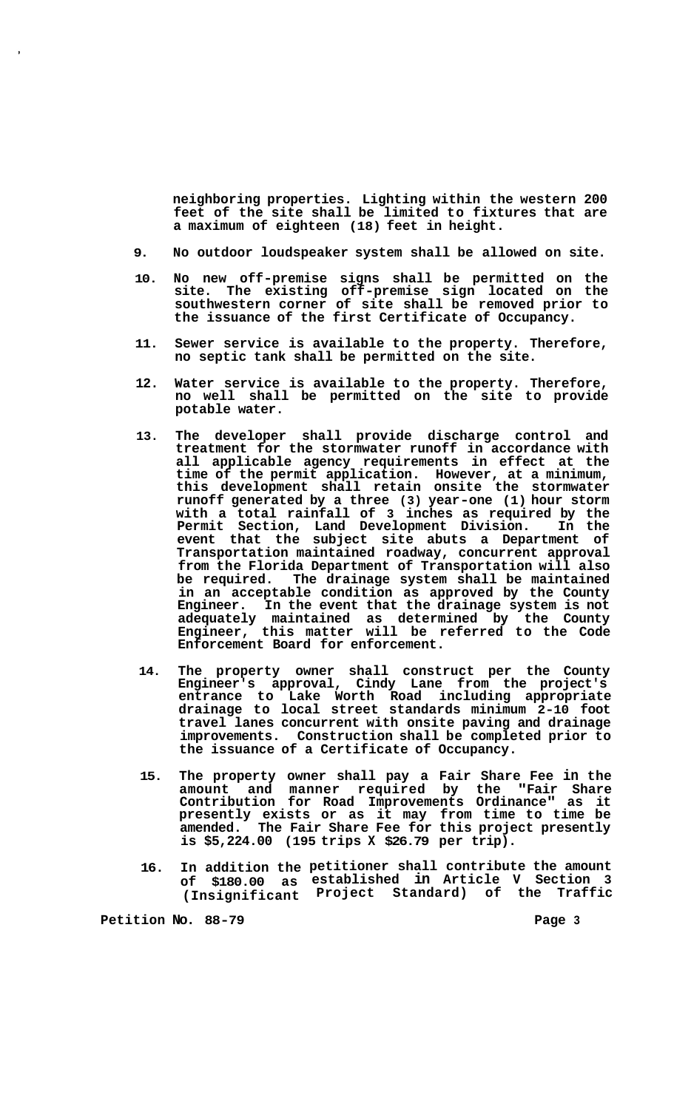**neighboring properties. Lighting within the western 200 feet of the site shall be limited to fixtures that are a maximum of eighteen (18) feet in height.** 

- **9. No outdoor loudspeaker system shall be allowed on site.**
- **10. No new off-premise signs shall be permitted on the site. The existing off-premise sign located on the southwestern corner of site shall be removed prior to the issuance of the first Certificate of Occupancy.**
- **11. Sewer service is available to the property. Therefore, no septic tank shall be permitted on the site.**
- **12. Water service is available to the property. Therefore, no well shall be permitted on the site to provide potable water.**
- **13. The developer shall provide discharge control and treatment for the stormwater runoff in accordance with all applicable agency requirements in effect at the time of the permit application. However, at a minimum, this development shall retain onsite the stormwater runoff generated by a three (3) year-one (1) hour storm with a total rainfall of 3 inches as required by the Permit Section, Land Development Division. In the event that the subject site abuts a Department of Transportation maintained roadway, concurrent approval from the Florida Department of Transportation will also**  The drainage system shall be maintained **in an acceptable condition as approved by the County Engineer. In the event that the drainage system is not adequately maintained as determined by the County Engineer, this matter will be referred to the Code Enforcement Board for enforcement.**
- **14. The property owner shall construct per the County Engineer's approval, Cindy Lane from the project's entrance to Lake Worth Road including appropriate drainage to local street standards minimum 2-10 foot travel lanes concurrent with onsite paving and drainage improvements. Construction shall be completed prior to the issuance of a Certificate of Occupancy.**
- **15. The property owner shall pay a Fair Share Fee in the amount and manner required by the "Fair Share Contribution for Road Improvements Ordinance" as it presently exists or as it may from time to time be amended. The Fair Share Fee for this project presently is \$5,224.00 (195 trips X \$26.79 per trip).**
- **16. In addition the petitioner shall contribute the amount of \$180.00 as established in Article V Section 3 (Insignificant Project Standard) of the Traffic**

Petition No. 88-79 **Page 3 Page 3**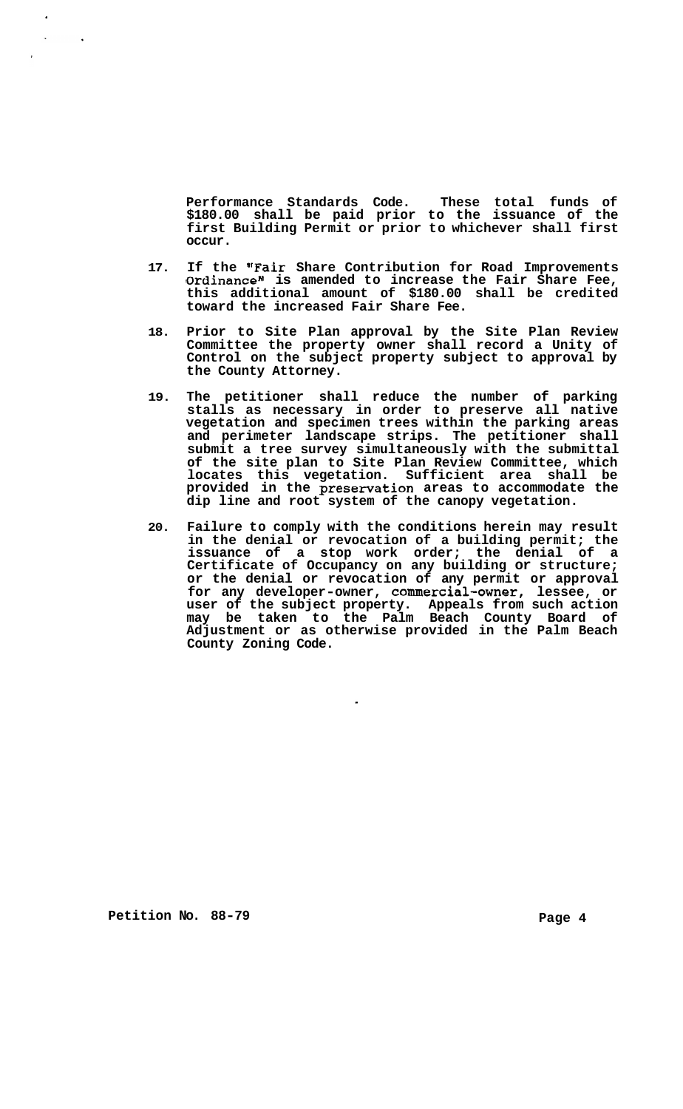**Performance Standards Code. These total funds of \$180.00 shall be paid prior to the issuance of the first Building Permit or prior to whichever shall first occur.** 

- **17. If the "Fair Share Contribution for Road Improvements**  Ordinance" is amended to increase the Fair Share Fee, **this additional amount of \$180.00 shall be credited toward the increased Fair Share Fee.**
- **18. Prior to Site Plan approval by the Site Plan Review Committee the property owner shall record a Unity of Control on the subject property subject to approval by the County Attorney.**
- **19. The petitioner shall reduce the number of parking stalls as necessary in order to preserve all native vegetation and specimen trees within the parking areas and perimeter landscape strips. The petitioner shall submit a tree survey simultaneously with the submittal of the site plan to Site Plan Review Committee, which locates this vegetation. Sufficient area shall be provided in the preservation areas to accommodate the dip line and root system of the canopy vegetation.**
- **20. Failure to comply with the conditions herein may result in the denial or revocation of a building permit; the issuance of a stop work order; the denial of a Certificate of Occupancy on any building or structure; or the denial or revocation of any permit or approval for any developer-owner, commercial-owner, lessee, or user of the subject property. Appeals from such action may be taken to the Palm Beach County Board of Adjustment or as otherwise provided in the Palm Beach County Zoning Code.**

 $\ddot{\phantom{0}}$